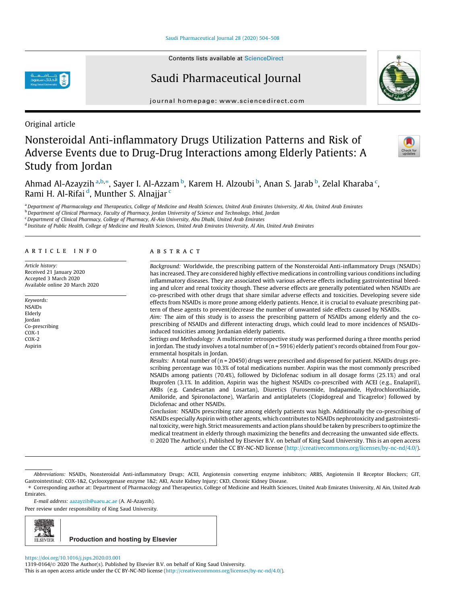Contents lists available at ScienceDirect

# Saudi Pharmaceutical Journal

journal homepage: www.sciencedirect.com

Original article

# Nonsteroidal Anti-inflammatory Drugs Utilization Patterns and Risk of Adverse Events due to Drug-Drug Interactions among Elderly Patients: A Study from Jordan



Ahmad Al-Azayzih <sup>a,b,</sup>\*, Sayer I. Al-Azzam <sup>b</sup>, Karem H. Alzoubi <sup>b</sup>, Anan S. Jarab <sup>b</sup>, Zelal Kharaba <sup>c</sup>, Rami H. Al-Rifai <sup>d</sup>, Munther S. Alnajjar <sup>c</sup>

<sup>a</sup>*Department of Pharmacology and Therapeutics, College of Medicine and Health Sciences, United Arab Emirates University, Al Ain, United Arab Emirates*

<sup>b</sup>*Department of Clinical Pharmacy, Faculty of Pharmacy, Jordan University of Science and Technology, Irbid, Jordan*

<sup>c</sup>*Department of Clinical Pharmacy, College of Pharmacy, Al-Ain University, Abu Dhabi, United Arab Emirates*

d *Institute of Public Health, College of Medicine and Health Sciences, United Arab Emirates University, Al Ain, United Arab Emirates*

## article info

*Article history:* Received 21 January 2020 Accepted 3 March 2020 Available online 20 March 2020

*Keywords:* NSAIDs Elderly Jordan Co-prescribing COX-1 COX-2 Aspirin

## ABSTRACT

*Background:* Worldwide, the prescribing pattern of the Nonsteroidal Anti-inflammatory Drugs (NSAIDs) has increased. They are considered highly effective medications in controlling various conditions including inflammatory diseases. They are associated with various adverse effects including gastrointestinal bleeding and ulcer and renal toxicity though. These adverse effects are generally potentiated when NSAIDs are co-prescribed with other drugs that share similar adverse effects and toxicities. Developing severe side effects from NSAIDs is more prone among elderly patients. Hence, it is crucial to evaluate prescribing pattern of these agents to prevent/decrease the number of unwanted side effects caused by NSAIDs.

*Aim:* The aim of this study is to assess the prescribing pattern of NSAIDs among elderly and the coprescribing of NSAIDs and different interacting drugs, which could lead to more incidences of NSAIDsinduced toxicities among Jordanian elderly patients.

*Settings and Methodology:* A multicenter retrospective study was performed during a three months period in Jordan. The study involves a total number of (n = 5916) elderly patient's records obtained from Four governmental hospitals in Jordan.

*Results:* A total number of (n = 20450) drugs were prescribed and dispensed for patient. NSAIDs drugs prescribing percentage was 10.3% of total medications number. Aspirin was the most commonly prescribed NSAIDs among patients (70.4%), followed by Diclofenac sodium in all dosage forms (25.1%) and oral Ibuprofen (3.1%. In addition, Aspirin was the highest NSAIDs co-prescribed with ACEI (e.g., Enalapril), ARBs (e.g. Candesartan and Losartan), Diuretics (Furosemide, Indapamide, Hydrochlorothiazide, Amiloride, and Spironolactone), Warfarin and antiplatelets (Clopidogreal and Ticagrelor) followed by Diclofenac and other NSAIDs.

*Conclusion:* NSAIDs prescribing rate among elderly patients was high. Additionally the co-prescribing of NSAIDs especially Aspirin with other agents, which contributes to NSAIDs nephrotoxicity and gastrointestinal toxicity, were high. Strict measurements and action plans should be taken by prescribers to optimize the medical treatment in elderly through maximizing the benefits and decreasing the unwanted side effects. 2020 The Author(s). Published by Elsevier B.V. on behalf of King Saud University. This is an open access article under the CC BY-NC-ND license (http://creativecommons.org/licenses/by-nc-nd/4.0/).

Peer review under responsibility of King Saud University.



https://doi.org/10.1016/j.jsps.2020.03.001

1319-0164/ 2020 The Author(s). Published by Elsevier B.V. on behalf of King Saud University. This is an open access article under the CC BY-NC-ND license (http://creativecommons.org/licenses/by-nc-nd/4.0/).

*Abbreviations:* NSAIDs, Nonsteroidal Anti-inflammatory Drugs; ACEI, Angiotensin converting enzyme inhibitors; ARBS, Angiotensin II Receptor Blockers; GIT, Gastrointestinal; COX-1&2, Cyclooxygenase enzyme 1&2; AKI, Acute Kidney Injury; CKD, Chronic Kidney Disease.

<sup>⇑</sup> Corresponding author at: Department of Pharmacology and Therapeutics, College of Medicine and Health Sciences, United Arab Emirates University, Al Ain, United Arab Emirates.

*E-mail address:* aazayzih@uaeu.ac.ae (A. Al-Azayzih).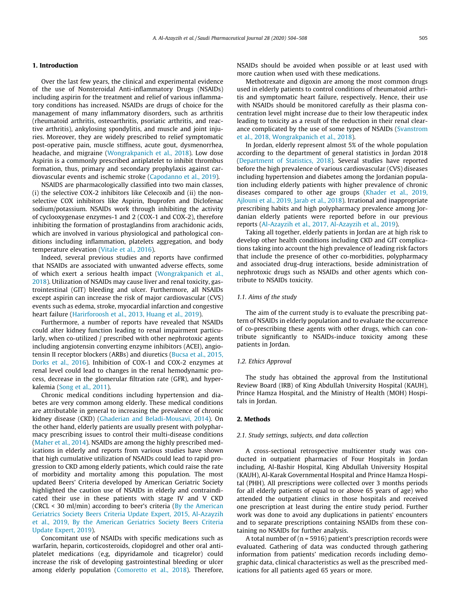#### *A. Al-Azayzih et al. / Saudi Pharmaceutical Journal 28 (2020) 504–508* 505

#### 1. Introduction

Over the last few years, the clinical and experimental evidence of the use of Nonsteroidal Anti-inflammatory Drugs (NSAIDs) including aspirin for the treatment and relief of various inflammatory conditions has increased. NSAIDs are drugs of choice for the management of many inflammatory disorders, such as arthritis (rheumatoid arthritis, osteoarthritis, psoriatic arthritis, and reactive arthritis), ankylosing spondylitis, and muscle and joint injuries. Moreover, they are widely prescribed to relief symptomatic post-operative pain, muscle stiffness, acute gout, dysmenorrhea, headache, and migraine (Wongrakpanich et al., 2018). Low dose Aspirin is a commonly prescribed antiplatelet to inhibit thrombus formation, thus, primary and secondary prophylaxis against cardiovascular events and ischemic stroke (Capodanno et al., 2019).

NSAIDS are pharmacologically classified into two main classes, (i) the selective COX-2 inhibitors like Celecoxib and (ii) the nonselective COX inhibitors like Aspirin, Ibuprofen and Diclofenac sodium/potassium. NSAIDs work through inhibiting the activity of cyclooxygenase enzymes-1 and 2 (COX-1 and COX-2), therefore inhibiting the formation of prostaglandins from arachidonic acids, which are involved in various physiological and pathological conditions including inflammation, platelets aggregation, and body temperature elevation (Vitale et al., 2016).

Indeed, several previous studies and reports have confirmed that NSAIDs are associated with unwanted adverse effects, some of which exert a serious health impact (Wongrakpanich et al., 2018). Utilization of NSAIDs may cause liver and renal toxicity, gastrointestinal (GIT) bleeding and ulcer. Furthermore, all NSAIDs except aspirin can increase the risk of major cardiovascular (CVS) events such as edema, stroke, myocardial infarction and congestive heart failure (Harirforoosh et al., 2013, Huang et al., 2019).

Furthermore, a number of reports have revealed that NSAIDs could alter kidney function leading to renal impairment particularly, when co-utilized / prescribed with other nephrotoxic agents including angiotensin converting enzyme inhibitors (ACEI), angiotensin II receptor blockers (ARBs) and diuretics (Bucsa et al., 2015, Dorks et al., 2016). Inhibition of COX-1 and COX-2 enzymes at renal level could lead to changes in the renal hemodynamic process, decrease in the glomerular filtration rate (GFR), and hyperkalemia (Song et al., 2011).

Chronic medical conditions including hypertension and diabetes are very common among elderly. These medical conditions are attributable in general to increasing the prevalence of chronic kidney disease (CKD) (Ghaderian and Beladi-Mousavi, 2014). On the other hand, elderly patients are usually present with polypharmacy prescribing issues to control their multi-disease conditions (Maher et al., 2014). NSAIDs are among the highly prescribed medications in elderly and reports from various studies have shown that high cumulative utilization of NSAIDs could lead to rapid progression to CKD among elderly patients, which could raise the rate of morbidity and mortality among this population. The most updated Beers' Criteria developed by American Geriatric Society highlighted the caution use of NSAIDs in elderly and contraindicated their use in these patients with stage IV and V CKD (CRCL < 30 ml/min) according to beer's criteria (By the American Geriatrics Society Beers Criteria Update Expert, 2015, Al-Azayzih et al., 2019, By the American Geriatrics Society Beers Criteria Update Expert, 2019).

Concomitant use of NSAIDs with specific medications such as warfarin, heparin, corticosteroids, clopidogrel and other oral antiplatelet medications (e,g, dipyridamole and ticagrelor) could increase the risk of developing gastrointestinal bleeding or ulcer among elderly population (Comoretto et al., 2018). Therefore, NSAIDs should be avoided when possible or at least used with more caution when used with these medications.

Methotrexate and digoxin are among the most common drugs used in elderly patients to control conditions of rheumatoid arthritis and symptomatic heart failure, respectively. Hence, their use with NSAIDs should be monitored carefully as their plasma concentration level might increase due to their low therapeutic index leading to toxicity as a result of the reduction in their renal clearance complicated by the use of some types of NSAIDs (Svanstrom et al., 2018, Wongrakpanich et al., 2018).

In Jordan, elderly represent almost 5% of the whole population according to the department of general statistics in Jordan 2018 (Department of Statistics, 2018). Several studies have reported before the high prevalence of various cardiovascular (CVS) diseases including hypertension and diabetes among the Jordanian population including elderly patients with higher prevalence of chronic diseases compared to other age groups (Khader et al., 2019, Ajlouni et al., 2019, Jarab et al., 2018). Irrational and inappropriate prescribing habits and high polypharmacy prevalence among Jordanian elderly patients were reported before in our previous reports (Al-Azayzih et al., 2017, Al-Azayzih et al., 2019).

Taking all together, elderly patients in Jordan are at high risk to develop other health conditions including CKD and GIT complications taking into account the high prevalence of leading risk factors that include the presence of other co-morbidities, polypharmacy and associated drug-drug interactions, beside administration of nephrotoxic drugs such as NSAIDs and other agents which contribute to NSAIDs toxicity.

#### *1.1. Aims of the study*

The aim of the current study is to evaluate the prescribing pattern of NSAIDs in elderly population and to evaluate the occurrence of co-prescribing these agents with other drugs, which can contribute significantly to NSAIDs-induce toxicity among these patients in Jordan.

#### *1.2. Ethics Approval*

The study has obtained the approval from the Institutional Review Board (IRB) of King Abdullah University Hospital (KAUH), Prince Hamza Hospital, and the Ministry of Health (MOH) Hospitals in Jordan.

#### 2. Methods

## *2.1. Study settings, subjects, and data collection*

A cross-sectional retrospective multicenter study was conducted in outpatient pharmacies of Four Hospitals in Jordan including, Al-Bashir Hospital, King Abdullah University Hospital (KAUH), Al-Karak Governmental Hospital and Prince Hamza Hospital (PHH). All prescriptions were collected over 3 months periods for all elderly patients of equal to or above 65 years of age) who attended the outpatient clinics in those hospitals and received one prescription at least during the entire study period. Further work was done to avoid any duplications in patients' encounters and to separate prescriptions containing NSAIDs from these containing no NSAIDs for further analysis.

A total number of ( $n = 5916$ ) patient's prescription records were evaluated. Gathering of data was conducted through gathering information from patients' medication records including demographic data, clinical characteristics as well as the prescribed medications for all patients aged 65 years or more.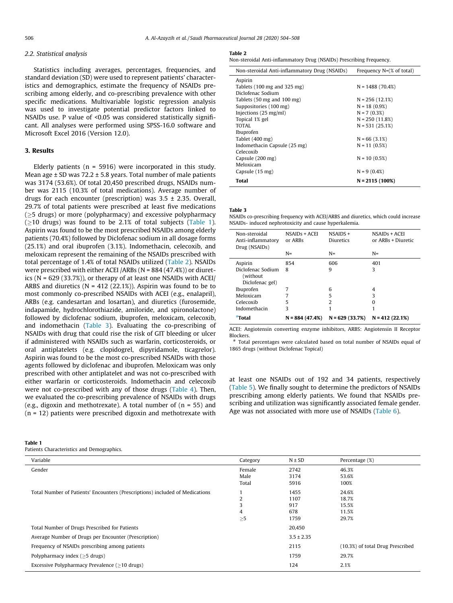#### *2.2. Statistical analysis*

Statistics including averages, percentages, frequencies, and standard deviation (SD) were used to represent patients' characteristics and demographics, estimate the frequency of NSAIDs prescribing among elderly, and co-prescribing prevalence with other specific medications. Multivariable logistic regression analysis was used to investigate potential predictor factors linked to NSAIDs use. P value of <0.05 was considered statistically significant. All analyses were performed using SPSS-16.0 software and Microsoft Excel 2016 (Version 12.0).

## 3. Results

Elderly patients ( $n = 5916$ ) were incorporated in this study. Mean age ± SD was 72.2 ± 5.8 years. Total number of male patients was 3174 (53.6%). Of total 20,450 prescribed drugs, NSAIDs number was 2115 (10.3% of total medications). Average number of drugs for each encounter (prescription) was  $3.5 \pm 2.35$ . Overall, 29.7% of total patients were prescribed at least five medications  $(\geq)$  drugs) or more (polypharmacy) and excessive polypharmacy  $(\geq 10$  drugs) was found to be 2.1% of total subjects (Table 1). Aspirin was found to be the most prescribed NSAIDs among elderly patients (70.4%) followed by Diclofenac sodium in all dosage forms (25.1%) and oral ibuprofen (3.1%). Indomethacin, celecoxib, and meloxicam represent the remaining of the NSAIDs prescribed with total percentage of 1.4% of total NSAIDs utilized (Table 2). NSAIDs were prescribed with either ACEI /ARBs (N = 884 (47.4%)) or diuretics (N = 629 (33.7%)), or therapy of at least one NSAIDs with ACEI/ ARBS and diuretics ( $N = 412$  (22.1%)). Aspirin was found to be to most commonly co-prescribed NSAIDs with ACEI (e.g., enalapril), ARBs (e.g. candesartan and losartan), and diuretics (furosemide, indapamide, hydrochlorothiazide, amiloride, and spironolactone) followed by diclofenac sodium, ibuprofen, meloxicam, celecoxib, and indomethacin (Table 3). Evaluating the co-prescribing of NSAIDs with drug that could rise the risk of GIT bleeding or ulcer if administered with NSAIDs such as warfarin, corticosteroids, or oral antiplatelets (e.g. clopidogrel, dipyridamole, ticagrelor). Aspirin was found to be the most co-prescribed NSAIDs with those agents followed by diclofenac and ibuprofen. Meloxicam was only prescribed with other antiplatelet and was not co-prescribed with either warfarin or corticosteroids. Indomethacin and celecoxib were not co-prescribed with any of those drugs (Table 4). Then, we evaluated the co-prescribing prevalence of NSAIDs with drugs (e.g., digoxin and methotrexate). A total number of  $(n = 55)$  and  $(n = 12)$  patients were prescribed digoxin and methotrexate with

## Table 1

Patients Characteristics and Demographics.

#### Table 2

Non-steroidal Anti-inflammatory Drug (NSAIDs) Prescribing Frequency.

| Non-steroidal Anti-inflammatory Drug (NSAIDs)   | Frequency N=(% of total) |
|-------------------------------------------------|--------------------------|
| Aspirin                                         |                          |
| Tablets $(100 \text{ mg}$ and $325 \text{ mg})$ | $N = 1488(70.4%)$        |
| Diclofenac Sodium                               |                          |
| Tablets (50 mg and 100 mg)                      | $N = 256(12.1%)$         |
| Suppositories (100 mg)                          | $N = 18(0.9%)$           |
| Injections (25 mg/ml)                           | $N = 7(0.3%)$            |
| Topical 1% gel                                  | $N = 250(11.8%)$         |
| TOTAL                                           | $N = 531 (25.1%)$        |
| Ibuprofen                                       |                          |
| Tablet (400 mg)                                 | $N = 66(3.1%)$           |
| Indomethacin Capsule (25 mg)                    | $N = 11(0.5%)$           |
| Celecoxib                                       |                          |
| Capsule (200 mg)                                | $N = 10(0.5%)$           |
| Meloxicam                                       |                          |
| Capsule (15 mg)                                 | $N = 9(0.4%)$            |
| Total                                           | $N = 2115(100\%)$        |

#### Table 3

NSAIDs co-prescribing frequency with ACEI/ARBS and diuretics, which could increase NSAIDs- induced nephrotoxicity and cause hyperkalemia.

| Celecoxib<br>Indomethacin<br>#Total       | 5<br>3                   | $\overline{2}$          | 0<br>1                              |
|-------------------------------------------|--------------------------|-------------------------|-------------------------------------|
| Meloxicam                                 | 7                        | 5                       | 3                                   |
| (without)<br>Diclofenac gel)<br>Ibuprofen | 7                        | 6                       | 4                                   |
| Diclofenac Sodium                         | 8                        | 9                       | 3                                   |
| Aspirin                                   | 854                      | 606                     | 401                                 |
| Drug (NSAIDs)                             | $N =$                    | $N =$                   | $N =$                               |
| Non-steroidal<br>Anti-inflammatory        | NSAIDs + ACEI<br>or ARBs | $NSAIDS +$<br>Diuretics | NSAIDs + ACEI<br>or ARBs + Diuretic |

ACEI: Angiotensin converting enzyme inhibitors, ARBS: Angiotensin II Receptor Blockers.

# Total percentages were calculated based on total number of NSAIDs equal of 1865 drugs (without Diclofenac Topical)

at least one NSAIDs out of 192 and 34 patients, respectively (Table 5). We finally sought to determine the predictors of NSAIDs prescribing among elderly patients. We found that NSAIDs prescribing and utilization was significantly associated female gender. Age was not associated with more use of NSAIDs (Table 6).

| Variable                                                                     | Category | $N \pm SD$     | Percentage (%)                   |
|------------------------------------------------------------------------------|----------|----------------|----------------------------------|
| Gender                                                                       | Female   | 2742           | 46.3%                            |
|                                                                              | Male     | 3174           | 53.6%                            |
|                                                                              | Total    | 5916           | 100%                             |
| Total Number of Patients' Encounters (Prescriptions) included of Medications |          | 1455           | 24.6%                            |
|                                                                              | 2        | 1107           | 18.7%                            |
|                                                                              | 3        | 917            | 15.5%                            |
|                                                                              | 4        | 678            | 11.5%                            |
|                                                                              | $\geq 5$ | 1759           | 29.7%                            |
| Total Number of Drugs Prescribed for Patients                                |          | 20,450         |                                  |
| Average Number of Drugs per Encounter (Prescription)                         |          | $3.5 \pm 2.35$ |                                  |
| Frequency of NSAIDs prescribing among patients                               |          | 2115           | (10.3%) of total Drug Prescribed |
| Polypharmacy index $($ >5 drugs)                                             |          | 1759           | 29.7%                            |
| Excessive Polypharmacy Prevalence (>10 drugs)                                |          | 124            | 2.1%                             |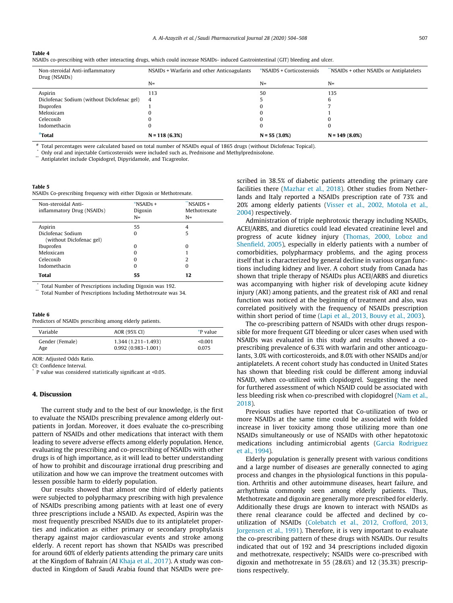#### Table 4

|  | NSAIDs co-prescribing with other interacting drugs, which could increase NSAIDs- induced Gastrointestinal (GIT) bleeding and ulcer. |  |  |
|--|-------------------------------------------------------------------------------------------------------------------------------------|--|--|
|  |                                                                                                                                     |  |  |
|  |                                                                                                                                     |  |  |
|  |                                                                                                                                     |  |  |

| Non-steroidal Anti-inflammatory<br>Drug (NSAIDs) | NSAIDs + Warfarin and other Anticoagulants | *NSAIDS + Corticosteroids | NSAIDs + other NSAIDs or Antiplatelets |
|--------------------------------------------------|--------------------------------------------|---------------------------|----------------------------------------|
|                                                  | $N=$                                       | $N=$                      | $N=$                                   |
| Aspirin                                          | 113                                        | 50                        | 135                                    |
| Diclofenac Sodium (without Diclofenac gel)       | 4                                          |                           |                                        |
| Ibuprofen                                        |                                            |                           |                                        |
| Meloxicam                                        |                                            |                           |                                        |
| Celecoxib                                        |                                            |                           |                                        |
| Indomethacin                                     |                                            |                           |                                        |
| <i><b>Total</b></i>                              | $N = 118(6.3%)$                            | $N = 55(3.0\%)$           | $N = 149(8.0\%)$                       |

# Total percentages were calculated based on total number of NSAIDs equal of 1865 drugs (without Diclofenac Topical).

Only oral and injectable Corticosteroids were included such as, Prednisone and Methylprednisolone.

Antiplatelet include Clopidogrel, Dipyridamole, and Ticagreolor.

## Table 5

NSAIDs Co-prescribing frequency with either Digoxin or Methotrexate.

| $*$ NSAIDs +<br>Digoxin<br>$N =$ | 44<br>NSAIDS +<br>Methotrexate<br>$N =$ |
|----------------------------------|-----------------------------------------|
| 55                               | 4                                       |
| 0                                | 5                                       |
| 0                                | 0                                       |
| 0                                |                                         |
| 0                                | $\overline{2}$                          |
| 0                                | 0                                       |
| 55                               | 12                                      |
|                                  |                                         |

\* Total Number of Prescriptions including Digoxin was 192.

Total Number of Prescriptions Including Methotrexate was 34.

#### Table 6

Predictors of NSAIDs prescribing among elderly patients.

| Variable        | AOR (95% CI)           | <i>*P</i> value |
|-----------------|------------------------|-----------------|
| Gender (Female) | $1,344(1,211-1,493)$   | < 0.001         |
| Age             | $0.992(0.983 - 1.001)$ | 0.075           |

AOR: Adjusted Odds Ratio.

CI: Confidence Interval.

\* P value was considered statistically significant at <0.05.

## 4. Discussion

The current study and to the best of our knowledge, is the first to evaluate the NSAIDs prescribing prevalence among elderly outpatients in Jordan. Moreover, it does evaluate the co-prescribing pattern of NSAIDs and other medications that interact with them leading to severe adverse effects among elderly population. Hence, evaluating the prescribing and co-prescribing of NSAIDs with other drugs is of high importance, as it will lead to better understanding of how to prohibit and discourage irrational drug prescribing and utilization and how we can improve the treatment outcomes with lessen possible harm to elderly population.

Our results showed that almost one third of elderly patients were subjected to polypharmacy prescribing with high prevalence of NSAIDs prescribing among patients with at least one of every three prescriptions include a NSAID. As expected, Aspirin was the most frequently prescribed NSAIDs due to its antiplatelet properties and indication as either primary or secondary prophylaxis therapy against major cardiovascular events and stroke among elderly. A recent report has shown that NSAIDs was prescribed for around 60% of elderly patients attending the primary care units at the Kingdom of Bahrain (Al Khaja et al., 2017). A study was conducted in Kingdom of Saudi Arabia found that NSAIDs were prescribed in 38.5% of diabetic patients attending the primary care facilities there (Mazhar et al., 2018). Other studies from Netherlands and Italy reported a NSAIDs prescription rate of 73% and 20% among elderly patients (Visser et al., 2002, Motola et al., 2004) respectively.

Administration of triple nephrotoxic therapy including NSAIDs, ACEI/ARBS, and diuretics could lead elevated creatinine level and progress of acute kidney injury (Thomas, 2000, Loboz and Shenfield, 2005), especially in elderly patients with a number of comorbidities, polypharmacy problems, and the aging process itself that is characterized by general decline in various organ functions including kidney and liver. A cohort study from Canada has shown that triple therapy of NSAIDs plus ACEI/ARBS and diuretics was accompanying with higher risk of developing acute kidney injury (AKI) among patients, and the greatest risk of AKI and renal function was noticed at the beginning of treatment and also, was correlated positively with the frequency of NSAIDs prescription within short period of time (Lapi et al., 2013, Bouvy et al., 2003).

The co-prescribing pattern of NSAIDs with other drugs responsible for more frequent GIT bleeding or ulcer cases when used with NSAIDs was evaluated in this study and results showed a coprescribing prevalence of 6.3% with warfarin and other anticoagulants, 3.0% with corticosteroids, and 8.0% with other NSAIDs and/or antiplatelets. A recent cohort study has conducted in United States has shown that bleeding risk could be different among induvial NSAID, when co-utilized with clopidogrel. Suggesting the need for furthered assessment of which NSAID could be associated with less bleeding risk when co-prescribed with clopidogrel (Nam et al., 2018).

Previous studies have reported that Co-utilization of two or more NSAIDs at the same time could be associated with folded increase in liver toxicity among those utilizing more than one NSAIDs simultaneously or use of NSAIDs with other hepatotoxic medications including antimicrobial agents (Garcia Rodriguez et al., 1994).

Elderly population is generally present with various conditions and a large number of diseases are generally connected to aging process and changes in the physiological functions in this population. Arthritis and other autoimmune diseases, heart failure, and arrhythmia commonly seen among elderly patients. Thus, Methotrexate and digoxin are generally more prescribed for elderly. Additionally these drugs are known to interact with NSAIDs as there renal clearance could be affected and declined by coutilization of NSAIDs (Colebatch et al., 2012, Crofford, 2013, Jorgensen et al., 1991). Therefore, it is very important to evaluate the co-prescribing pattern of these drugs with NSAIDs. Our results indicated that out of 192 and 34 prescriptions included digoxin and methotrexate, respectively; NSAIDs were co-prescribed with digoxin and methotrexate in 55 (28.6%) and 12 (35.3%) prescriptions respectively.